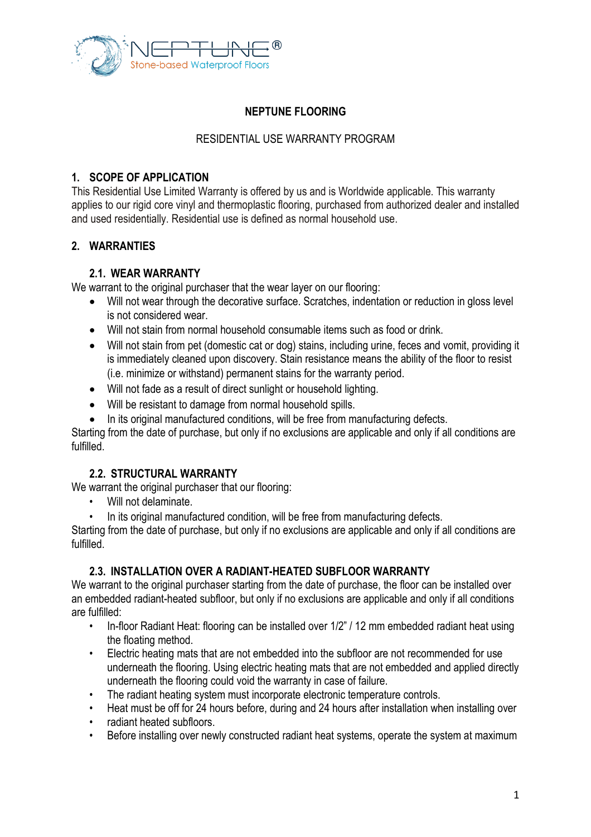

# **NEPTUNE FLOORING**

#### RESIDENTIAL USE WARRANTY PROGRAM

#### **1. SCOPE OF APPLICATION**

This Residential Use Limited Warranty is offered by us and is Worldwide applicable. This warranty applies to our rigid core vinyl and thermoplastic flooring, purchased from authorized dealer and installed and used residentially. Residential use is defined as normal household use.

## **2. WARRANTIES**

#### **2.1. WEAR WARRANTY**

We warrant to the original purchaser that the wear layer on our flooring:

- Will not wear through the decorative surface. Scratches, indentation or reduction in gloss level is not considered wear.
- Will not stain from normal household consumable items such as food or drink.
- Will not stain from pet (domestic cat or dog) stains, including urine, feces and vomit, providing it is immediately cleaned upon discovery. Stain resistance means the ability of the floor to resist (i.e. minimize or withstand) permanent stains for the warranty period.
- Will not fade as a result of direct sunlight or household lighting.
- Will be resistant to damage from normal household spills.
- In its original manufactured conditions, will be free from manufacturing defects.

Starting from the date of purchase, but only if no exclusions are applicable and only if all conditions are fulfilled.

## **2.2. STRUCTURAL WARRANTY**

We warrant the original purchaser that our flooring:

- Will not delaminate.
- In its original manufactured condition, will be free from manufacturing defects.

Starting from the date of purchase, but only if no exclusions are applicable and only if all conditions are fulfilled.

## **2.3. INSTALLATION OVER A RADIANT-HEATED SUBFLOOR WARRANTY**

We warrant to the original purchaser starting from the date of purchase, the floor can be installed over an embedded radiant-heated subfloor, but only if no exclusions are applicable and only if all conditions are fulfilled:

- In-floor Radiant Heat: flooring can be installed over 1/2" / 12 mm embedded radiant heat using the floating method.
- Electric heating mats that are not embedded into the subfloor are not recommended for use underneath the flooring. Using electric heating mats that are not embedded and applied directly underneath the flooring could void the warranty in case of failure.
- The radiant heating system must incorporate electronic temperature controls.
- Heat must be off for 24 hours before, during and 24 hours after installation when installing over
- radiant heated subfloors.
- Before installing over newly constructed radiant heat systems, operate the system at maximum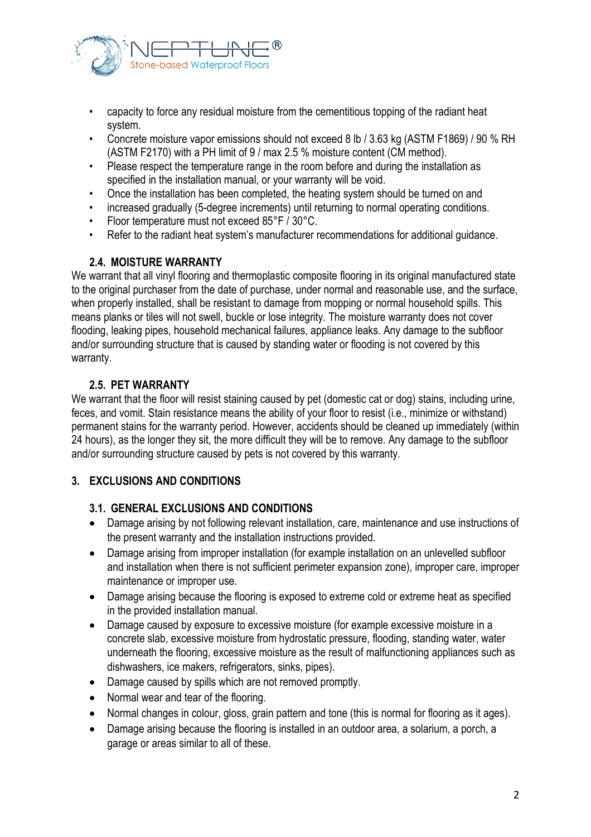

- capacity to force any residual moisture from the cementitious topping of the radiant heat system.
- Concrete moisture vapor emissions should not exceed 8 lb / 3.63 kg (ASTM F1869) / 90 % RH (ASTM F2170) with a PH limit of 9 / max 2.5 % moisture content (CM method).
- Please respect the temperature range in the room before and during the installation as specified in the installation manual, or your warranty will be void.
- Once the installation has been completed, the heating system should be turned on and
- increased gradually (5-degree increments) until returning to normal operating conditions.
- Floor temperature must not exceed 85°F / 30°C.
- Refer to the radiant heat system's manufacturer recommendations for additional guidance.

## **2.4. MOISTURE WARRANTY**

We warrant that all vinyl flooring and thermoplastic composite flooring in its original manufactured state to the original purchaser from the date of purchase, under normal and reasonable use, and the surface, when properly installed, shall be resistant to damage from mopping or normal household spills. This means planks or tiles will not swell, buckle or lose integrity. The moisture warranty does not cover flooding, leaking pipes, household mechanical failures, appliance leaks. Any damage to the subfloor and/or surrounding structure that is caused by standing water or flooding is not covered by this warranty.

## **2.5. PET WARRANTY**

We warrant that the floor will resist staining caused by pet (domestic cat or dog) stains, including urine, feces, and vomit. Stain resistance means the ability of your floor to resist (i.e., minimize or withstand) permanent stains for the warranty period. However, accidents should be cleaned up immediately (within 24 hours), as the longer they sit, the more difficult they will be to remove. Any damage to the subfloor and/or surrounding structure caused by pets is not covered by this warranty.

## **3. EXCLUSIONS AND CONDITIONS**

#### **3.1. GENERAL EXCLUSIONS AND CONDITIONS**

- Damage arising by not following relevant installation, care, maintenance and use instructions of the present warranty and the installation instructions provided.
- Damage arising from improper installation (for example installation on an unlevelled subfloor and installation when there is not sufficient perimeter expansion zone), improper care, improper maintenance or improper use.
- Damage arising because the flooring is exposed to extreme cold or extreme heat as specified in the provided installation manual.
- Damage caused by exposure to excessive moisture (for example excessive moisture in a concrete slab, excessive moisture from hydrostatic pressure, flooding, standing water, water underneath the flooring, excessive moisture as the result of malfunctioning appliances such as dishwashers, ice makers, refrigerators, sinks, pipes).
- Damage caused by spills which are not removed promptly.
- Normal wear and tear of the flooring.
- Normal changes in colour, gloss, grain pattern and tone (this is normal for flooring as it ages).
- Damage arising because the flooring is installed in an outdoor area, a solarium, a porch, a garage or areas similar to all of these.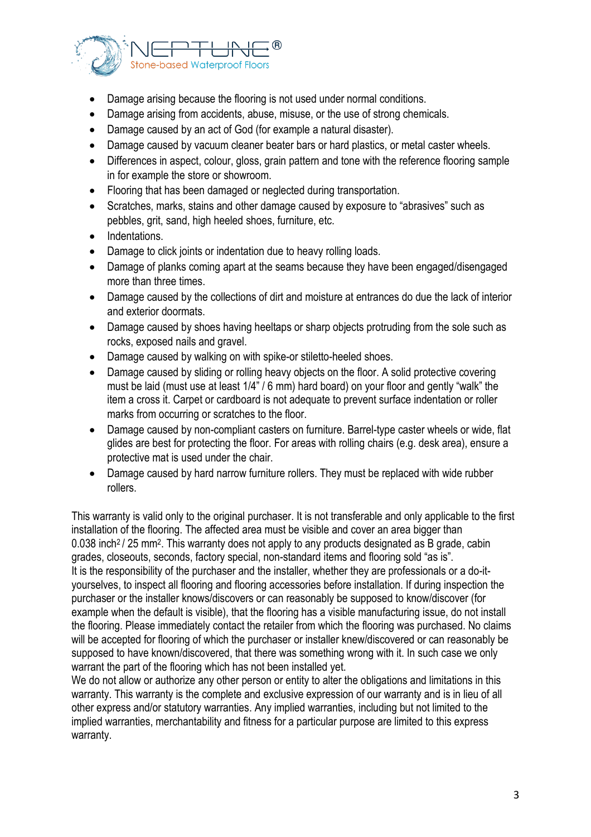

- Damage arising because the flooring is not used under normal conditions.
- Damage arising from accidents, abuse, misuse, or the use of strong chemicals.
- Damage caused by an act of God (for example a natural disaster).
- Damage caused by vacuum cleaner beater bars or hard plastics, or metal caster wheels.
- Differences in aspect, colour, gloss, grain pattern and tone with the reference flooring sample in for example the store or showroom.
- Flooring that has been damaged or neglected during transportation.
- Scratches, marks, stains and other damage caused by exposure to "abrasives" such as pebbles, grit, sand, high heeled shoes, furniture, etc.
- Indentations.
- Damage to click joints or indentation due to heavy rolling loads.
- Damage of planks coming apart at the seams because they have been engaged/disengaged more than three times.
- Damage caused by the collections of dirt and moisture at entrances do due the lack of interior and exterior doormats.
- Damage caused by shoes having heeltaps or sharp objects protruding from the sole such as rocks, exposed nails and gravel.
- Damage caused by walking on with spike-or stiletto-heeled shoes.
- Damage caused by sliding or rolling heavy objects on the floor. A solid protective covering must be laid (must use at least 1/4" / 6 mm) hard board) on your floor and gently "walk" the item a cross it. Carpet or cardboard is not adequate to prevent surface indentation or roller marks from occurring or scratches to the floor.
- Damage caused by non-compliant casters on furniture. Barrel-type caster wheels or wide, flat glides are best for protecting the floor. For areas with rolling chairs (e.g. desk area), ensure a protective mat is used under the chair.
- Damage caused by hard narrow furniture rollers. They must be replaced with wide rubber rollers.

This warranty is valid only to the original purchaser. It is not transferable and only applicable to the first installation of the flooring. The affected area must be visible and cover an area bigger than 0.038 inch<sup>2</sup> / 25 mm<sup>2</sup>. This warranty does not apply to any products designated as B grade, cabin grades, closeouts, seconds, factory special, non-standard items and flooring sold "as is". It is the responsibility of the purchaser and the installer, whether they are professionals or a do-ityourselves, to inspect all flooring and flooring accessories before installation. If during inspection the purchaser or the installer knows/discovers or can reasonably be supposed to know/discover (for example when the default is visible), that the flooring has a visible manufacturing issue, do not install the flooring. Please immediately contact the retailer from which the flooring was purchased. No claims will be accepted for flooring of which the purchaser or installer knew/discovered or can reasonably be supposed to have known/discovered, that there was something wrong with it. In such case we only warrant the part of the flooring which has not been installed yet.

We do not allow or authorize any other person or entity to alter the obligations and limitations in this warranty. This warranty is the complete and exclusive expression of our warranty and is in lieu of all other express and/or statutory warranties. Any implied warranties, including but not limited to the implied warranties, merchantability and fitness for a particular purpose are limited to this express warranty.